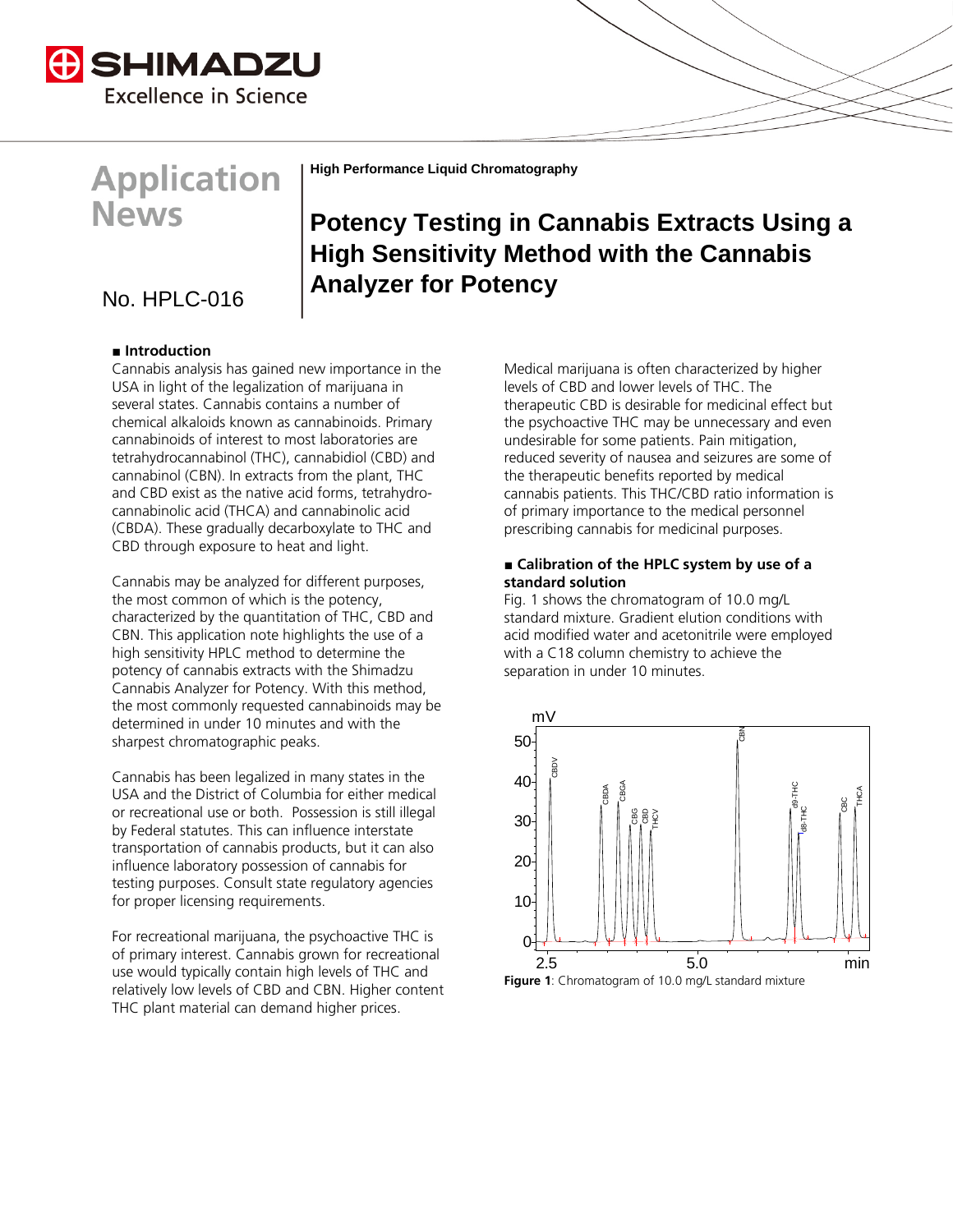

## **Application News**

**High Performance Liquid Chromatography**

## **Analyzer for Potency** No. HPLC-016

### **■ Introduction**

Cannabis analysis has gained new importance in the USA in light of the legalization of marijuana in several states. Cannabis contains a number of chemical alkaloids known as cannabinoids. Primary cannabinoids of interest to most laboratories are tetrahydrocannabinol (THC), cannabidiol (CBD) and cannabinol (CBN). In extracts from the plant, THC and CBD exist as the native acid forms, tetrahydrocannabinolic acid (THCA) and cannabinolic acid (CBDA). These gradually decarboxylate to THC and CBD through exposure to heat and light.

Cannabis may be analyzed for different purposes, the most common of which is the potency, characterized by the quantitation of THC, CBD and CBN. This application note highlights the use of a high sensitivity HPLC method to determine the potency of cannabis extracts with the Shimadzu Cannabis Analyzer for Potency. With this method, the most commonly requested cannabinoids may be determined in under 10 minutes and with the sharpest chromatographic peaks.

Cannabis has been legalized in many states in the USA and the District of Columbia for either medical or recreational use or both. Possession is still illegal by Federal statutes. This can influence interstate transportation of cannabis products, but it can also influence laboratory possession of cannabis for testing purposes. Consult state regulatory agencies for proper licensing requirements.

For recreational marijuana, the psychoactive THC is of primary interest. Cannabis grown for recreational use would typically contain high levels of THC and relatively low levels of CBD and CBN. Higher content THC plant material can demand higher prices.

Medical marijuana is often characterized by higher levels of CBD and lower levels of THC. The therapeutic CBD is desirable for medicinal effect but the psychoactive THC may be unnecessary and even undesirable for some patients. Pain mitigation, reduced severity of nausea and seizures are some of the therapeutic benefits reported by medical

**Potency Testing in Cannabis Extracts Using a** 

**High Sensitivity Method with the Cannabis** 

### **■ Calibration of the HPLC system by use of a standard solution**

cannabis patients. This THC/CBD ratio information is of primary importance to the medical personnel prescribing cannabis for medicinal purposes.

Fig. 1 shows the chromatogram of 10.0 mg/L standard mixture. Gradient elution conditions with acid modified water and acetonitrile were employed with a C18 column chemistry to achieve the separation in under 10 minutes.

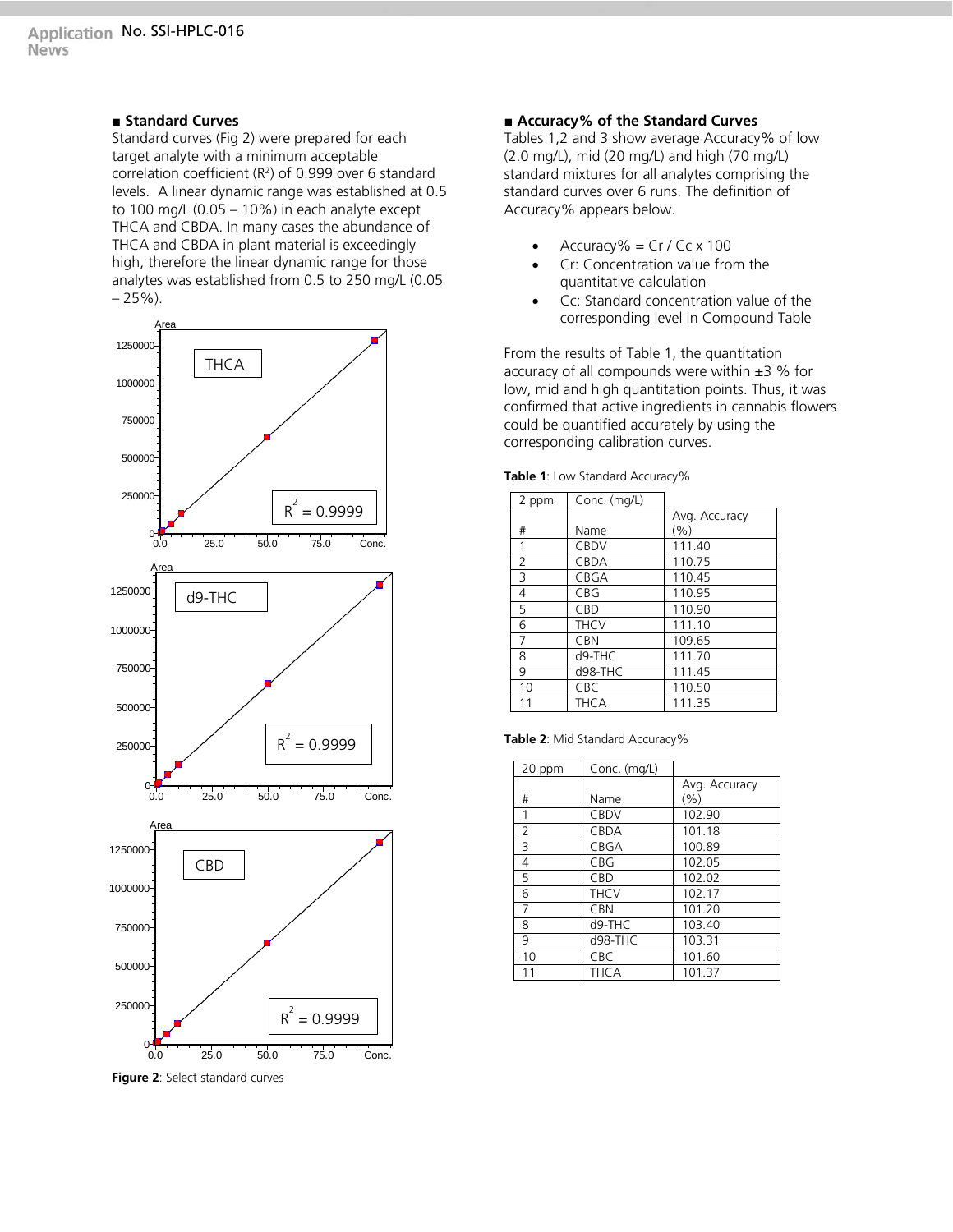### **■ Standard Curves**

Standard curves (Fig 2) were prepared for each target analyte with a minimum acceptable correlation coefficient  $(R^2)$  of 0.999 over 6 standard levels. A linear dynamic range was established at 0.5 to 100 mg/L  $(0.05 - 10\%)$  in each analyte except THCA and CBDA. In many cases the abundance of THCA and CBDA in plant material is exceedingly high, therefore the linear dynamic range for those analytes was established from 0.5 to 250 mg/L (0.05  $-25%$ ).



**Figure 2**: Select standard curves

### **■ Accuracy% of the Standard Curves**

Tables 1,2 and 3 show average Accuracy% of low (2.0 mg/L), mid (20 mg/L) and high (70 mg/L) standard mixtures for all analytes comprising the standard curves over 6 runs. The definition of Accuracy% appears below.

- $Accuracy\% = Cr / Cc \times 100$
- Cr: Concentration value from the quantitative calculation
- Cc: Standard concentration value of the corresponding level in Compound Table

From the results of Table 1, the quantitation accuracy of all compounds were within  $\pm$ 3 % for low, mid and high quantitation points. Thus, it was confirmed that active ingredients in cannabis flowers could be quantified accurately by using the corresponding calibration curves.

**Table 1**: Low Standard Accuracy%

| 2 ppm          | Conc. (mg/L) |               |
|----------------|--------------|---------------|
|                |              | Avg. Accuracy |
| #              | Name         | (%)           |
| 1              | <b>CBDV</b>  | 111.40        |
| $\overline{2}$ | <b>CBDA</b>  | 110.75        |
| $\overline{3}$ | CBGA         | 110.45        |
| 4              | CBG          | 110.95        |
| 5              | CBD          | 110.90        |
| 6              | <b>THCV</b>  | 111.10        |
| 7              | <b>CBN</b>   | 109.65        |
| 8              | d9-THC       | 111.70        |
| 9              | d98-THC      | 111.45        |
| 10             | CBC          | 110.50        |
| 11             | <b>THCA</b>  | 111.35        |

|  |  |  | Table 2: Mid Standard Accuracy% |  |  |
|--|--|--|---------------------------------|--|--|
|--|--|--|---------------------------------|--|--|

| 20 ppm         | Conc. (mg/L) |               |
|----------------|--------------|---------------|
|                |              | Avg. Accuracy |
| #              | Name         | (%)           |
| 1              | <b>CBDV</b>  | 102.90        |
| $\overline{2}$ | <b>CBDA</b>  | 101.18        |
| 3              | <b>CBGA</b>  | 100.89        |
| 4              | <b>CBG</b>   | 102.05        |
| 5              | CBD          | 102.02        |
| 6              | <b>THCV</b>  | 102.17        |
| 7              | <b>CBN</b>   | 101.20        |
| 8              | $d9-THC$     | 103.40        |
| 9              | d98-THC      | 103.31        |
| 10             | <b>CBC</b>   | 101.60        |
| 11             | <b>THCA</b>  | 101.37        |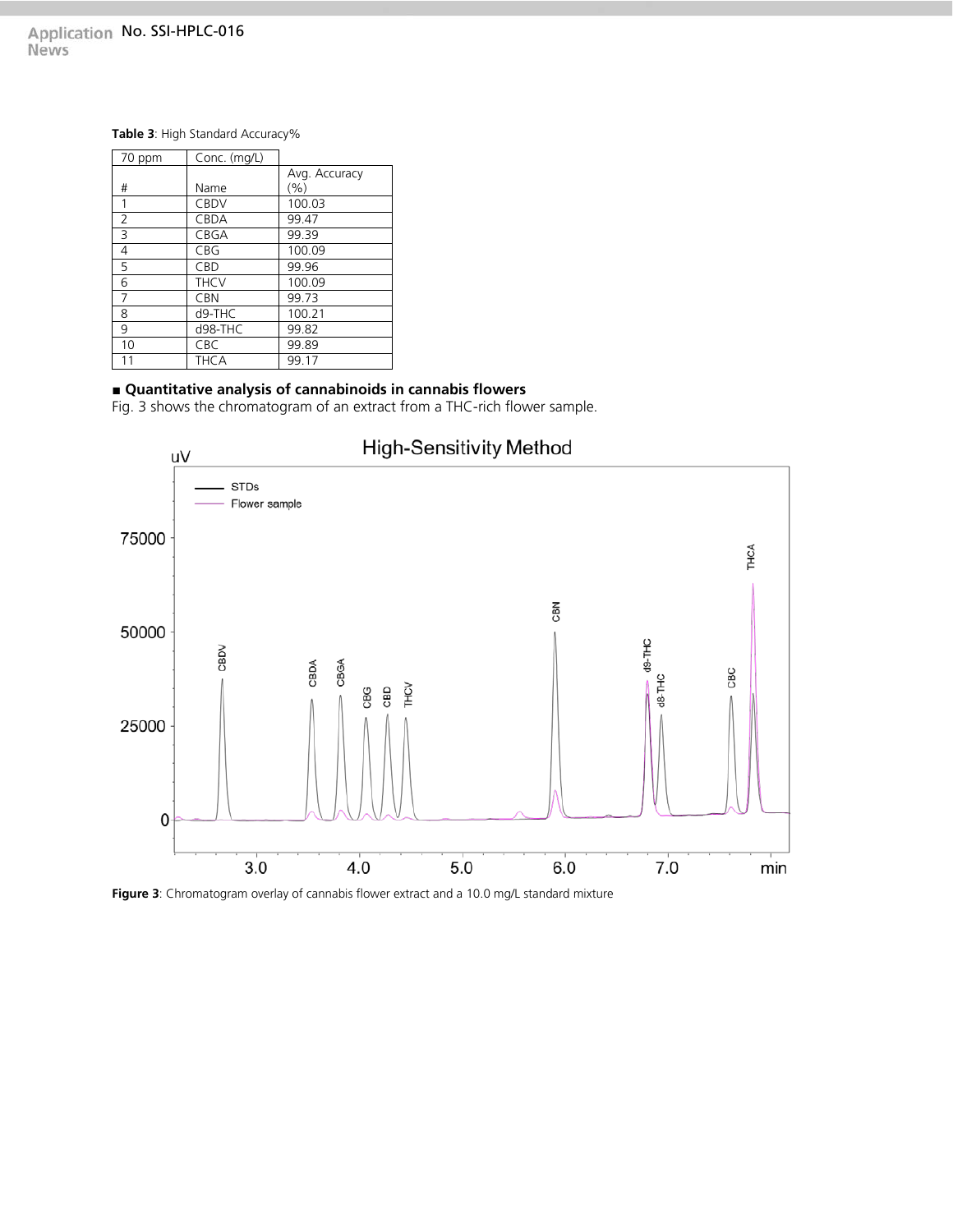# Application No. SSI-HPLC-016<br>News

#### **Table 3**: High Standard Accuracy%

| 70 ppm | Conc. (mg/L) |               |
|--------|--------------|---------------|
|        |              | Avg. Accuracy |
| #      | Name         | (%)           |
| 1      | <b>CBDV</b>  | 100.03        |
| 2      | <b>CBDA</b>  | 99.47         |
| 3      | CBGA         | 99.39         |
| 4      | CBG          | 100.09        |
| 5      | CBD          | 99.96         |
| 6      | <b>THCV</b>  | 100.09        |
| 7      | <b>CBN</b>   | 99.73         |
| 8      | d9-THC       | 100.21        |
| 9      | d98-THC      | 99.82         |
| 10     | CBC          | 99.89         |
| 11     | <b>THCA</b>  | 99.17         |

### **■ Quantitative analysis of cannabinoids in cannabis flowers**

Fig. 3 shows the chromatogram of an extract from a THC-rich flower sample.



**Figure 3**: Chromatogram overlay of cannabis flower extract and a 10.0 mg/L standard mixture